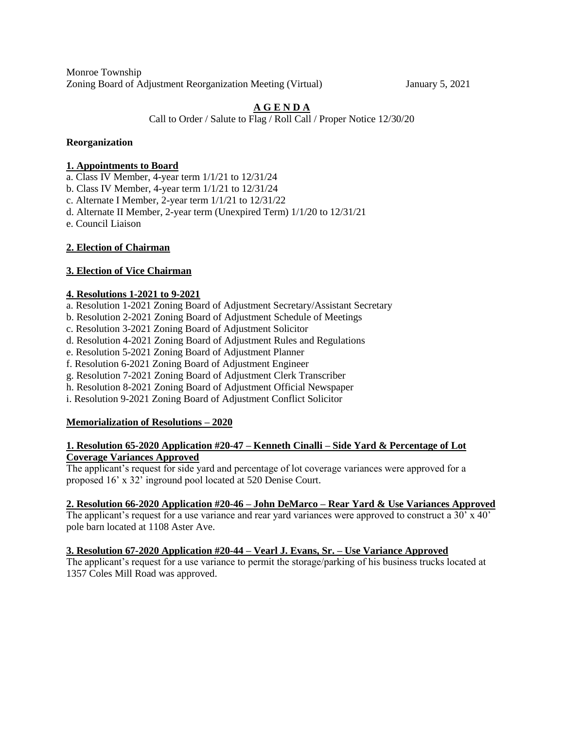Monroe Township Zoning Board of Adjustment Reorganization Meeting (Virtual) January 5, 2021

# **A G E N D A**

Call to Order / Salute to Flag / Roll Call / Proper Notice 12/30/20

### **Reorganization**

### **1. Appointments to Board**

a. Class IV Member, 4-year term 1/1/21 to 12/31/24

- b. Class IV Member, 4-year term 1/1/21 to 12/31/24
- c. Alternate I Member, 2-year term 1/1/21 to 12/31/22
- d. Alternate II Member, 2-year term (Unexpired Term) 1/1/20 to 12/31/21
- e. Council Liaison

## **2. Election of Chairman**

### **3. Election of Vice Chairman**

### **4. Resolutions 1-2021 to 9-2021**

- a. Resolution 1-2021 Zoning Board of Adjustment Secretary/Assistant Secretary
- b. Resolution 2-2021 Zoning Board of Adjustment Schedule of Meetings
- c. Resolution 3-2021 Zoning Board of Adjustment Solicitor
- d. Resolution 4-2021 Zoning Board of Adjustment Rules and Regulations
- e. Resolution 5-2021 Zoning Board of Adjustment Planner
- f. Resolution 6-2021 Zoning Board of Adjustment Engineer
- g. Resolution 7-2021 Zoning Board of Adjustment Clerk Transcriber
- h. Resolution 8-2021 Zoning Board of Adjustment Official Newspaper
- i. Resolution 9-2021 Zoning Board of Adjustment Conflict Solicitor

## **Memorialization of Resolutions – 2020**

#### **1. Resolution 65-2020 Application #20-47 – Kenneth Cinalli – Side Yard & Percentage of Lot Coverage Variances Approved**

The applicant's request for side yard and percentage of lot coverage variances were approved for a proposed 16' x 32' inground pool located at 520 Denise Court.

## **2. Resolution 66-2020 Application #20-46 – John DeMarco – Rear Yard & Use Variances Approved**

The applicant's request for a use variance and rear yard variances were approved to construct a  $30' \times 40'$ pole barn located at 1108 Aster Ave.

## **3. Resolution 67-2020 Application #20-44 – Vearl J. Evans, Sr. – Use Variance Approved**

The applicant's request for a use variance to permit the storage/parking of his business trucks located at 1357 Coles Mill Road was approved.